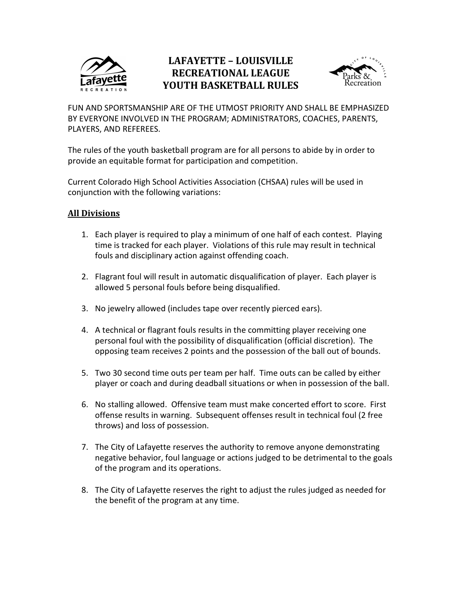

## LAFAYETTE – LOUISVILLE RECREATIONAL LEAGUE YOUTH BASKETBALL RULES



FUN AND SPORTSMANSHIP ARE OF THE UTMOST PRIORITY AND SHALL BE EMPHASIZED BY EVERYONE INVOLVED IN THE PROGRAM; ADMINISTRATORS, COACHES, PARENTS, PLAYERS, AND REFEREES.

The rules of the youth basketball program are for all persons to abide by in order to provide an equitable format for participation and competition.

Current Colorado High School Activities Association (CHSAA) rules will be used in conjunction with the following variations:

## All Divisions

- 1. Each player is required to play a minimum of one half of each contest. Playing time is tracked for each player. Violations of this rule may result in technical fouls and disciplinary action against offending coach.
- 2. Flagrant foul will result in automatic disqualification of player. Each player is allowed 5 personal fouls before being disqualified.
- 3. No jewelry allowed (includes tape over recently pierced ears).
- 4. A technical or flagrant fouls results in the committing player receiving one personal foul with the possibility of disqualification (official discretion). The opposing team receives 2 points and the possession of the ball out of bounds.
- 5. Two 30 second time outs per team per half. Time outs can be called by either player or coach and during deadball situations or when in possession of the ball.
- 6. No stalling allowed. Offensive team must make concerted effort to score. First offense results in warning. Subsequent offenses result in technical foul (2 free throws) and loss of possession.
- 7. The City of Lafayette reserves the authority to remove anyone demonstrating negative behavior, foul language or actions judged to be detrimental to the goals of the program and its operations.
- 8. The City of Lafayette reserves the right to adjust the rules judged as needed for the benefit of the program at any time.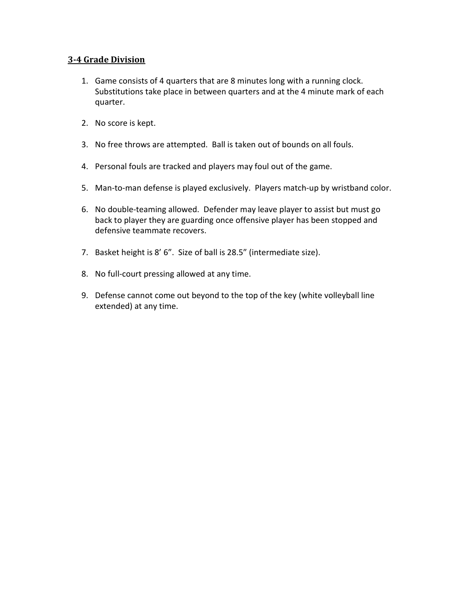## 3-4 Grade Division

- 1. Game consists of 4 quarters that are 8 minutes long with a running clock. Substitutions take place in between quarters and at the 4 minute mark of each quarter.
- 2. No score is kept.
- 3. No free throws are attempted. Ball is taken out of bounds on all fouls.
- 4. Personal fouls are tracked and players may foul out of the game.
- 5. Man-to-man defense is played exclusively. Players match-up by wristband color.
- 6. No double-teaming allowed. Defender may leave player to assist but must go back to player they are guarding once offensive player has been stopped and defensive teammate recovers.
- 7. Basket height is 8' 6". Size of ball is 28.5" (intermediate size).
- 8. No full-court pressing allowed at any time.
- 9. Defense cannot come out beyond to the top of the key (white volleyball line extended) at any time.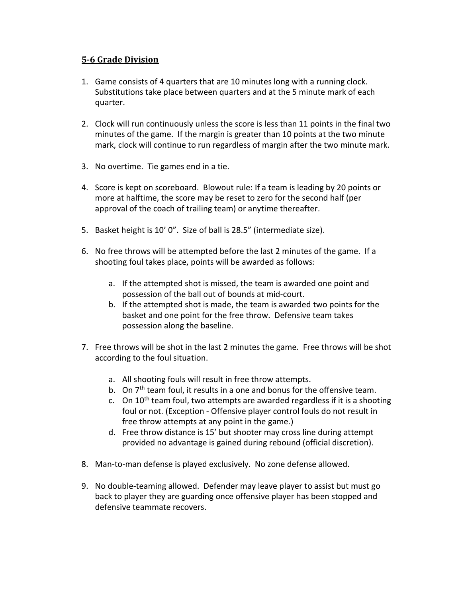## 5-6 Grade Division

- 1. Game consists of 4 quarters that are 10 minutes long with a running clock. Substitutions take place between quarters and at the 5 minute mark of each quarter.
- 2. Clock will run continuously unless the score is less than 11 points in the final two minutes of the game. If the margin is greater than 10 points at the two minute mark, clock will continue to run regardless of margin after the two minute mark.
- 3. No overtime. Tie games end in a tie.
- 4. Score is kept on scoreboard. Blowout rule: If a team is leading by 20 points or more at halftime, the score may be reset to zero for the second half (per approval of the coach of trailing team) or anytime thereafter.
- 5. Basket height is 10' 0". Size of ball is 28.5" (intermediate size).
- 6. No free throws will be attempted before the last 2 minutes of the game. If a shooting foul takes place, points will be awarded as follows:
	- a. If the attempted shot is missed, the team is awarded one point and possession of the ball out of bounds at mid-court.
	- b. If the attempted shot is made, the team is awarded two points for the basket and one point for the free throw. Defensive team takes possession along the baseline.
- 7. Free throws will be shot in the last 2 minutes the game. Free throws will be shot according to the foul situation.
	- a. All shooting fouls will result in free throw attempts.
	- b. On  $7<sup>th</sup>$  team foul, it results in a one and bonus for the offensive team.
	- c. On  $10^{th}$  team foul, two attempts are awarded regardless if it is a shooting foul or not. (Exception - Offensive player control fouls do not result in free throw attempts at any point in the game.)
	- d. Free throw distance is 15' but shooter may cross line during attempt provided no advantage is gained during rebound (official discretion).
- 8. Man-to-man defense is played exclusively. No zone defense allowed.
- 9. No double-teaming allowed. Defender may leave player to assist but must go back to player they are guarding once offensive player has been stopped and defensive teammate recovers.